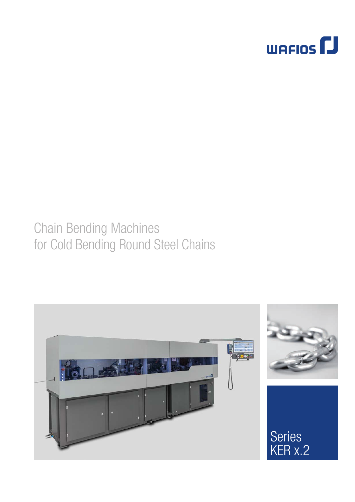

# Chain Bending Machines for Cold Bending Round Steel Chains

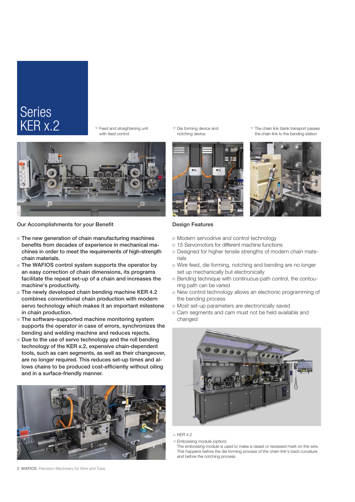## **Series** KER x.2

 $\overline{\mathbf{v}}$  Feed and straightening unit with feed control



Our Accomplishments for your Benefit

- $\blacksquare$  The new generation of chain manufacturing machines benefits from decades of experience in mechanical machines in order to meet the requirements of high-strength chain materials.
- $\blacksquare$  The WAFIOS control system supports the operator by an easy correction of chain dimensions, its programs facilitate the repeat set-up of a chain and increases the machine's productivity.
- $\blacksquare$  The newly developed chain bending machine KER 4.2 combines conventional chain production with modern servo technology which makes it an important milestone in chain production.
- $\blacksquare$  The software-supported machine monitoring system supports the operator in case of errors, synchronizes the bending and welding machine and reduces rejects.
- $\blacksquare$  Due to the use of servo technology and the roll bending technology of the KER x.2, expensive chain-dependent tools, such as cam segments, as well as their changeover, are no longer required. This reduces set-up times and allows chains to be produced cost-efficiently without oiling and in a surface-friendly manner.



 $\nabla$  Die forming device and notching device



 $\nabla$  The chain link blank transport passes the chain link to the bending station



#### Design Features

- $\blacksquare$  Modern servodrive and control technology
- 15 Servomotors for different machine functions
- Designed for higher tensile strengths of modern chain materials
- $\blacksquare$  Wire feed, die forming, notching and bending are no longer set up mechanically but electronically
- Bending technique with continuous-path control, the contouring path can be varied
- New control technology allows an electronic programming of the bending process
- $\blacksquare$  Most set-up parameters are electronically saved
- $\Box$  Cam segments and cam must not be held available and changed



 $\triangle$  KER 4.2

W Embossing module (option):

The embossing module is used to make a raised or recessed mark on the wire. This happens before the die forming process of the chain link's back curvature and before the notching process.

2 WAFIOS Precision Machinery for Wire and Tube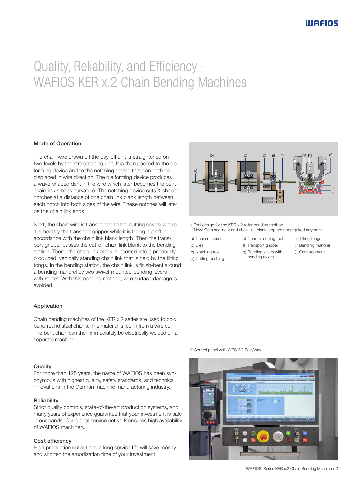# Quality, Reliability, and Efficiency - WAFIOS KER x.2 Chain Bending Machines

#### Mode of Operation

The chain wire drawn off the pay-off unit is straightened on two levels by the straightening unit. It is then passed to the die forming device and to the notching device that can both be displaced in wire direction. The die forming device produces a wave-shaped dent in the wire which later becomes the bent chain link's back curvature. The notching device cuts X-shaped notches at a distance of one chain link blank length between each notch into both sides of the wire. These notches will later be the chain link ends.

Next, the chain wire is transported to the cutting device where it is held by the transport gripper while it is being cut off in accordance with the chain link blank length. Then the transport gripper passes the cut-off chain link blank to the bending station. There, the chain link blank is inserted into a previously produced, vertically standing chain link that is held by the tilting tongs. In the bending station, the chain link is finish-bent around a bending mandrel by two swivel-mounted bending levers with rollers. With this bending method, wire surface damage is avoided.

### Application

Chain bending machines of the KER x.2 series are used to cold bend round steel chains. The material is fed in from a wire coil. The bent chain can then immediately be electrically welded on a separate machine.

#### **Quality**

For more than 125 years, the name of WAFIOS has been synonymous with highest quality, safety standards, and technical innovations in the German machine manufacturing industry.

### Reliability

Strict quality controls, state-of-the-art production systems, and many years of experience guarantee that your investment is safe in our hands. Our global service network ensures high availability of WAFIOS machinery.

#### Cost efficiency

High production output and a long service life will save money and shorten the amortization time of your investment.



 $\triangle$  Tool design for the KER x.2 roller bending method New: Cam segment and chain link blank stop are not required anymore.

a) Chain material

b) Dies c) Notching tool d) Cutting bushing e) Counter cutting tool f) Transport gripper g) Bending levers with

bending rollers

- h) Tilting tongs
- i) Bending mandrel
- j) Cam segment

 $\blacktriangledown$  Control panel with WPS 3.2 EasyWay



WAFIOS Series KER x.2 Chain Bending Machines 3